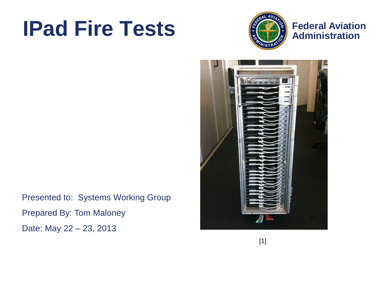# **IPad Fire Tests**



**Federal Aviation**



Presented to: Systems Working Group Prepared By: Tom Maloney Date: May 22 – 23, 2013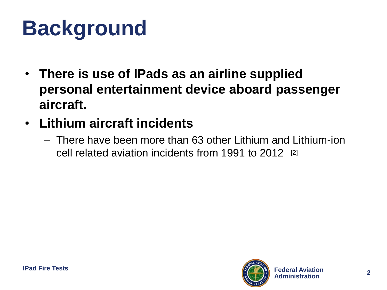# **Background**

- **There is use of IPads as an airline supplied personal entertainment device aboard passenger aircraft.**
- **Lithium aircraft incidents**
	- There have been more than 63 other Lithium and Lithium-ion cell related aviation incidents from 1991 to 2012 [2]

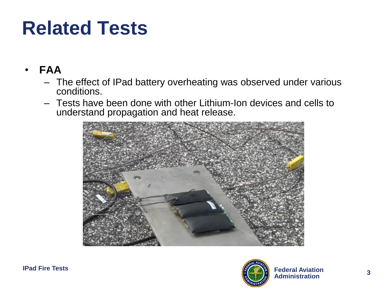### **Related Tests**

- **FAA**
	- The effect of IPad battery overheating was observed under various conditions.
	- Tests have been done with other Lithium-Ion devices and cells to understand propagation and heat release.



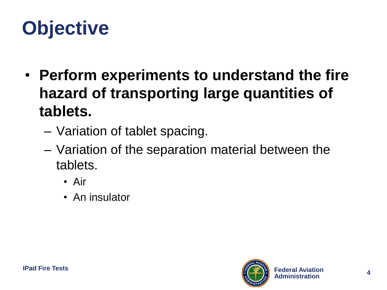# **Objective**

- **Perform experiments to understand the fire hazard of transporting large quantities of tablets.**
	- Variation of tablet spacing.
	- Variation of the separation material between the tablets.
		- Air
		- An insulator

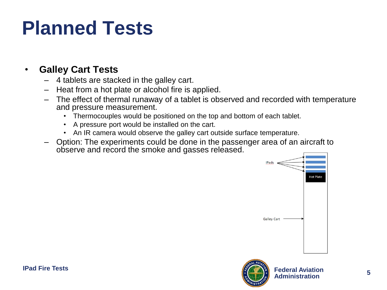### **Planned Tests**

#### • **Galley Cart Tests**

- 4 tablets are stacked in the galley cart.
- Heat from a hot plate or alcohol fire is applied.
- The effect of thermal runaway of a tablet is observed and recorded with temperature and pressure measurement.
	- Thermocouples would be positioned on the top and bottom of each tablet.
	- A pressure port would be installed on the cart.
	- An IR camera would observe the galley cart outside surface temperature.
- Option: The experiments could be done in the passenger area of an aircraft to observe and record the smoke and gasses released.



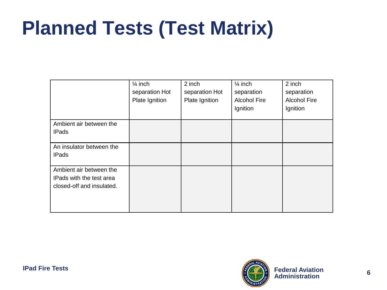## **Planned Tests (Test Matrix)**

|                                                                                  | $\frac{1}{4}$ inch<br>separation Hot<br>Plate Ignition | 2 inch<br>separation Hot<br>Plate Ignition | $\frac{1}{4}$ inch<br>separation<br><b>Alcohol Fire</b><br>Ignition | 2 inch<br>separation<br><b>Alcohol Fire</b><br>Ignition |
|----------------------------------------------------------------------------------|--------------------------------------------------------|--------------------------------------------|---------------------------------------------------------------------|---------------------------------------------------------|
| Ambient air between the<br><b>IPads</b>                                          |                                                        |                                            |                                                                     |                                                         |
| An insulator between the<br><b>IPads</b>                                         |                                                        |                                            |                                                                     |                                                         |
| Ambient air between the<br>IPads with the test area<br>closed-off and insulated. |                                                        |                                            |                                                                     |                                                         |